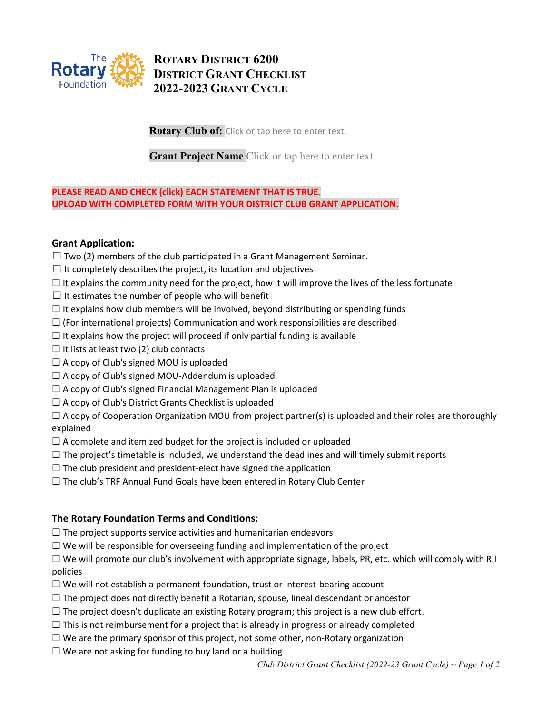

# **ROTARY DISTRICT 6200 DISTRICT GRANT CHECKLIST 2022-2023 GRANT CYCLE**

**Rotary Club of:** Click or tap here to enter text.

**Grant Project Name** Click or tap here to enter text.

### **PLEASE READ AND CHECK (click) EACH STATEMENT THAT IS TRUE. UPLOAD WITH COMPLETED FORM WITH YOUR DISTRICT CLUB GRANT APPLICATION.**

## **Grant Application:**

- $\Box$  Two (2) members of the club participated in a Grant Management Seminar.
- $\Box$  It completely describes the project, its location and objectives
- $\Box$  It explains the community need for the project, how it will improve the lives of the less fortunate
- $\Box$  It estimates the number of people who will benefit
- $\Box$  It explains how club members will be involved, beyond distributing or spending funds
- $\Box$  (For international projects) Communication and work responsibilities are described
- $\Box$  It explains how the project will proceed if only partial funding is available
- $\Box$  It lists at least two (2) club contacts
- $\Box$  A copy of Club's signed MOU is uploaded
- ☐ A copy of Club's signed MOU-Addendum is uploaded
- $\Box$  A copy of Club's signed Financial Management Plan is uploaded
- $\Box$  A copy of Club's District Grants Checklist is uploaded

 $\Box$  A copy of Cooperation Organization MOU from project partner(s) is uploaded and their roles are thoroughly explained

- $\Box$  A complete and itemized budget for the project is included or uploaded
- $\Box$  The project's timetable is included, we understand the deadlines and will timely submit reports
- $\Box$  The club president and president-elect have signed the application
- ☐ The club's TRF Annual Fund Goals have been entered in Rotary Club Center

#### **The Rotary Foundation Terms and Conditions:**

- $\Box$  The project supports service activities and humanitarian endeavors
- $\Box$  We will be responsible for overseeing funding and implementation of the project

☐ We will promote our club's involvement with appropriate signage, labels, PR, etc. which will comply with R.I policies

- ☐ We will not establish a permanent foundation, trust or interest-bearing account
- $\Box$  The project does not directly benefit a Rotarian, spouse, lineal descendant or ancestor
- $\Box$  The project doesn't duplicate an existing Rotary program; this project is a new club effort.
- $\Box$  This is not reimbursement for a project that is already in progress or already completed
- $\Box$  We are the primary sponsor of this project, not some other, non-Rotary organization
- $\Box$  We are not asking for funding to buy land or a building